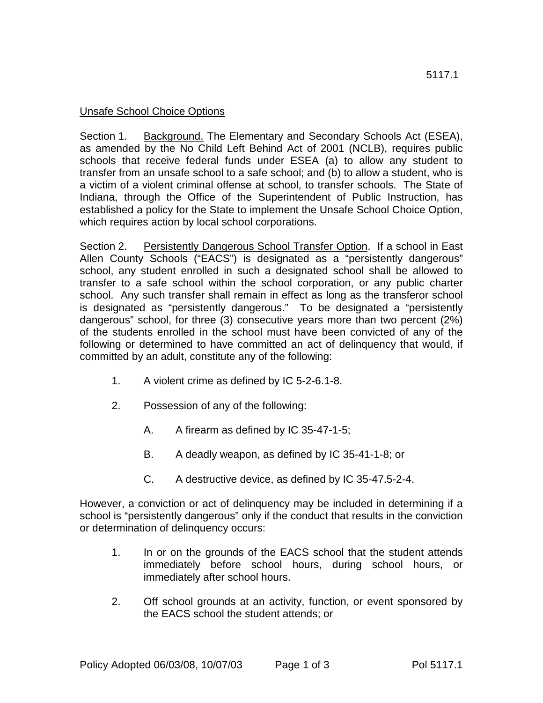## Unsafe School Choice Options

Section 1. Background. The Elementary and Secondary Schools Act (ESEA), as amended by the No Child Left Behind Act of 2001 (NCLB), requires public schools that receive federal funds under ESEA (a) to allow any student to transfer from an unsafe school to a safe school; and (b) to allow a student, who is a victim of a violent criminal offense at school, to transfer schools. The State of Indiana, through the Office of the Superintendent of Public Instruction, has established a policy for the State to implement the Unsafe School Choice Option, which requires action by local school corporations.

Section 2. Persistently Dangerous School Transfer Option. If a school in East Allen County Schools ("EACS") is designated as a "persistently dangerous" school, any student enrolled in such a designated school shall be allowed to transfer to a safe school within the school corporation, or any public charter school. Any such transfer shall remain in effect as long as the transferor school is designated as "persistently dangerous." To be designated a "persistently dangerous" school, for three (3) consecutive years more than two percent (2%) of the students enrolled in the school must have been convicted of any of the following or determined to have committed an act of delinquency that would, if committed by an adult, constitute any of the following:

- 1. A violent crime as defined by IC 5-2-6.1-8.
- 2. Possession of any of the following:
	- A. A firearm as defined by IC 35-47-1-5;
	- B. A deadly weapon, as defined by IC 35-41-1-8; or
	- C. A destructive device, as defined by IC 35-47.5-2-4.

However, a conviction or act of delinquency may be included in determining if a school is "persistently dangerous" only if the conduct that results in the conviction or determination of delinquency occurs:

- 1. In or on the grounds of the EACS school that the student attends immediately before school hours, during school hours, or immediately after school hours.
- 2. Off school grounds at an activity, function, or event sponsored by the EACS school the student attends; or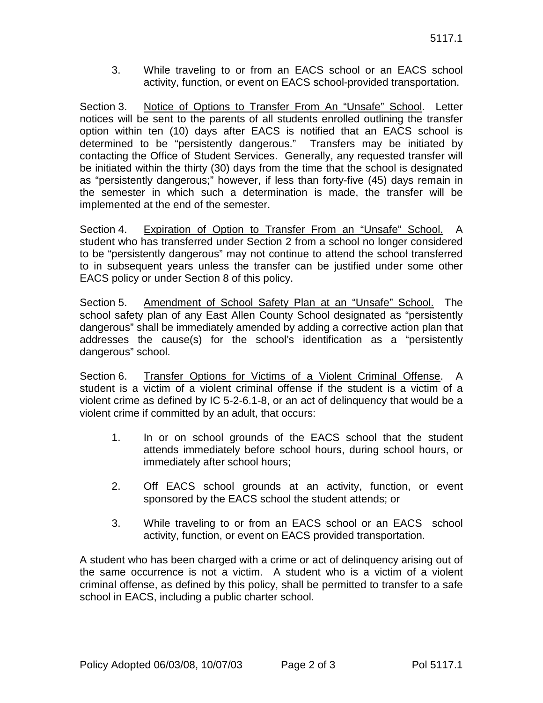3. While traveling to or from an EACS school or an EACS school activity, function, or event on EACS school-provided transportation.

Section 3. Notice of Options to Transfer From An "Unsafe" School. Letter notices will be sent to the parents of all students enrolled outlining the transfer option within ten (10) days after EACS is notified that an EACS school is determined to be "persistently dangerous." Transfers may be initiated by contacting the Office of Student Services. Generally, any requested transfer will be initiated within the thirty (30) days from the time that the school is designated as "persistently dangerous;" however, if less than forty-five (45) days remain in the semester in which such a determination is made, the transfer will be implemented at the end of the semester.

Section 4. Expiration of Option to Transfer From an "Unsafe" School. A student who has transferred under Section 2 from a school no longer considered to be "persistently dangerous" may not continue to attend the school transferred to in subsequent years unless the transfer can be justified under some other EACS policy or under Section 8 of this policy.

Section 5. Amendment of School Safety Plan at an "Unsafe" School. The school safety plan of any East Allen County School designated as "persistently dangerous" shall be immediately amended by adding a corrective action plan that addresses the cause(s) for the school's identification as a "persistently dangerous" school.

Section 6. Transfer Options for Victims of a Violent Criminal Offense. A student is a victim of a violent criminal offense if the student is a victim of a violent crime as defined by IC 5-2-6.1-8, or an act of delinquency that would be a violent crime if committed by an adult, that occurs:

- 1. In or on school grounds of the EACS school that the student attends immediately before school hours, during school hours, or immediately after school hours;
- 2. Off EACS school grounds at an activity, function, or event sponsored by the EACS school the student attends; or
- 3. While traveling to or from an EACS school or an EACS school activity, function, or event on EACS provided transportation.

A student who has been charged with a crime or act of delinquency arising out of the same occurrence is not a victim. A student who is a victim of a violent criminal offense, as defined by this policy, shall be permitted to transfer to a safe school in EACS, including a public charter school.